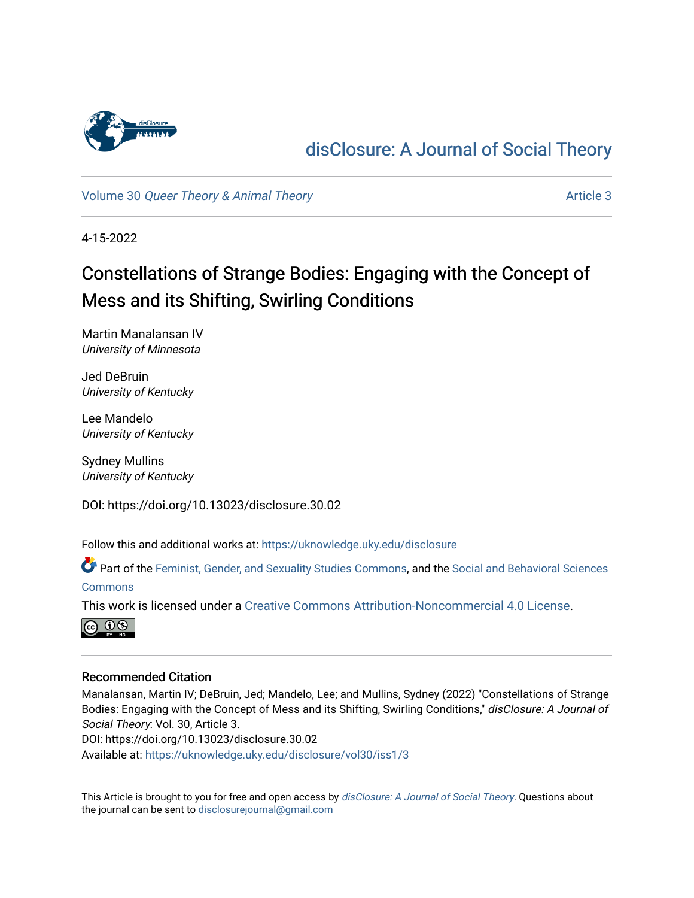

## [disClosure: A Journal of Social Theory](https://uknowledge.uky.edu/disclosure)

Volume 30 [Queer Theory & Animal Theory](https://uknowledge.uky.edu/disclosure/vol30) Article 3

4-15-2022

# Constellations of Strange Bodies: Engaging with the Concept of Mess and its Shifting, Swirling Conditions

Martin Manalansan IV University of Minnesota

Jed DeBruin University of Kentucky

Lee Mandelo University of Kentucky

Sydney Mullins University of Kentucky

DOI: https://doi.org/10.13023/disclosure.30.02

Follow this and additional works at: [https://uknowledge.uky.edu/disclosure](https://uknowledge.uky.edu/disclosure?utm_source=uknowledge.uky.edu%2Fdisclosure%2Fvol30%2Fiss1%2F3&utm_medium=PDF&utm_campaign=PDFCoverPages)

Part of the [Feminist, Gender, and Sexuality Studies Commons](http://network.bepress.com/hgg/discipline/559?utm_source=uknowledge.uky.edu%2Fdisclosure%2Fvol30%2Fiss1%2F3&utm_medium=PDF&utm_campaign=PDFCoverPages), and the [Social and Behavioral Sciences](http://network.bepress.com/hgg/discipline/316?utm_source=uknowledge.uky.edu%2Fdisclosure%2Fvol30%2Fiss1%2F3&utm_medium=PDF&utm_campaign=PDFCoverPages)  **[Commons](http://network.bepress.com/hgg/discipline/316?utm_source=uknowledge.uky.edu%2Fdisclosure%2Fvol30%2Fiss1%2F3&utm_medium=PDF&utm_campaign=PDFCoverPages)** 

This work is licensed under a [Creative Commons Attribution-Noncommercial 4.0 License](https://creativecommons.org/licenses/by-nc/4.0/).



#### Recommended Citation

Manalansan, Martin IV; DeBruin, Jed; Mandelo, Lee; and Mullins, Sydney (2022) "Constellations of Strange Bodies: Engaging with the Concept of Mess and its Shifting, Swirling Conditions," disClosure: A Journal of Social Theory: Vol. 30, Article 3.

DOI: https://doi.org/10.13023/disclosure.30.02

Available at: [https://uknowledge.uky.edu/disclosure/vol30/iss1/3](https://uknowledge.uky.edu/disclosure/vol30/iss1/3?utm_source=uknowledge.uky.edu%2Fdisclosure%2Fvol30%2Fiss1%2F3&utm_medium=PDF&utm_campaign=PDFCoverPages)

This Article is brought to you for free and open access by [disClosure: A Journal of Social Theory](https://uknowledge.uky.edu/disclosure). Questions about the journal can be sent to [disclosurejournal@gmail.com](mailto:disclosurejournal@gmail.com)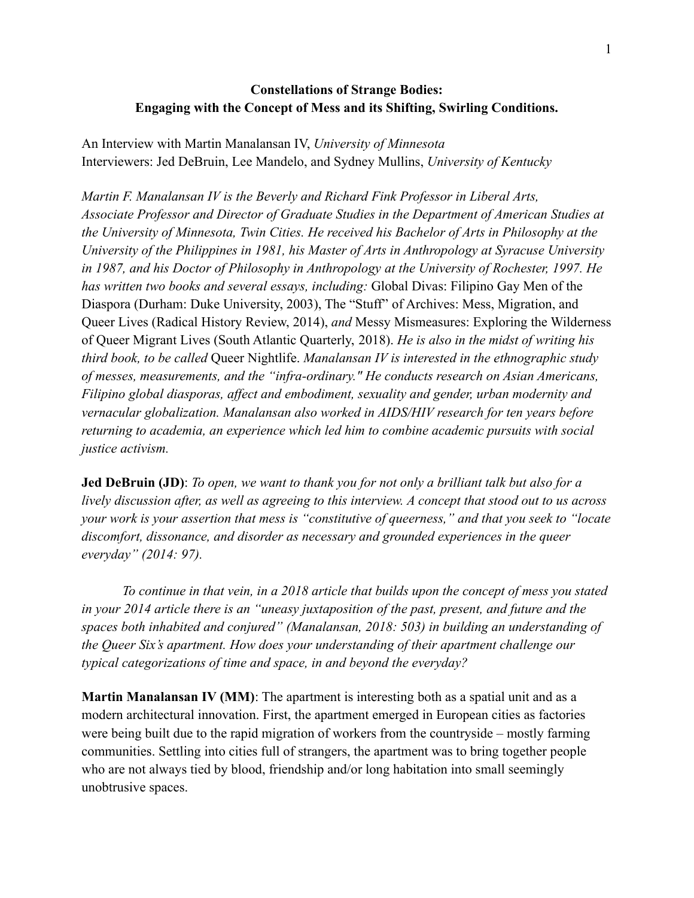### **Constellations of Strange Bodies: Engaging with the Concept of Mess and its Shifting, Swirling Conditions.**

An Interview with Martin Manalansan IV, *University of Minnesota* Interviewers: Jed DeBruin, Lee Mandelo, and Sydney Mullins, *University of Kentucky*

*Martin F. Manalansan IV is the Beverly and Richard Fink Professor in Liberal Arts, Associate Professor and Director of Graduate Studies in the Department of American Studies at the University of Minnesota, Twin Cities. He received his Bachelor of Arts in Philosophy at the University of the Philippines in 1981, his Master of Arts in Anthropology at Syracuse University in 1987, and his Doctor of Philosophy in Anthropology at the University of Rochester, 1997. He has written two books and several essays, including:* Global Divas: Filipino Gay Men of the Diaspora (Durham: Duke University, 2003), The "Stuff" of Archives: Mess, Migration, and Queer Lives (Radical History Review, 2014), *and* Messy Mismeasures: Exploring the Wilderness of Queer Migrant Lives (South Atlantic Quarterly, 2018). *He is also in the midst of writing his third book, to be called* Queer Nightlife. *Manalansan IV is interested in the ethnographic study of messes, measurements, and the "infra-ordinary." He conducts research on Asian Americans, Filipino global diasporas, affect and embodiment, sexuality and gender, urban modernity and vernacular globalization. Manalansan also worked in AIDS/HIV research for ten years before returning to academia, an experience which led him to combine academic pursuits with social justice activism.*

**Jed DeBruin (JD)**: *To open, we want to thank you for not only a brilliant talk but also for a lively discussion after, as well as agreeing to this interview. A concept that stood out to us across your work is your assertion that mess is "constitutive of queerness," and that you seek to "locate discomfort, dissonance, and disorder as necessary and grounded experiences in the queer everyday" (2014: 97).*

*To continue in that vein, in a 2018 article that builds upon the concept of mess you stated in your 2014 article there is an "uneasy juxtaposition of the past, present, and future and the spaces both inhabited and conjured" (Manalansan, 2018: 503) in building an understanding of the Queer Six's apartment. How does your understanding of their apartment challenge our typical categorizations of time and space, in and beyond the everyday?*

**Martin Manalansan IV (MM)**: The apartment is interesting both as a spatial unit and as a modern architectural innovation. First, the apartment emerged in European cities as factories were being built due to the rapid migration of workers from the countryside – mostly farming communities. Settling into cities full of strangers, the apartment was to bring together people who are not always tied by blood, friendship and/or long habitation into small seemingly unobtrusive spaces.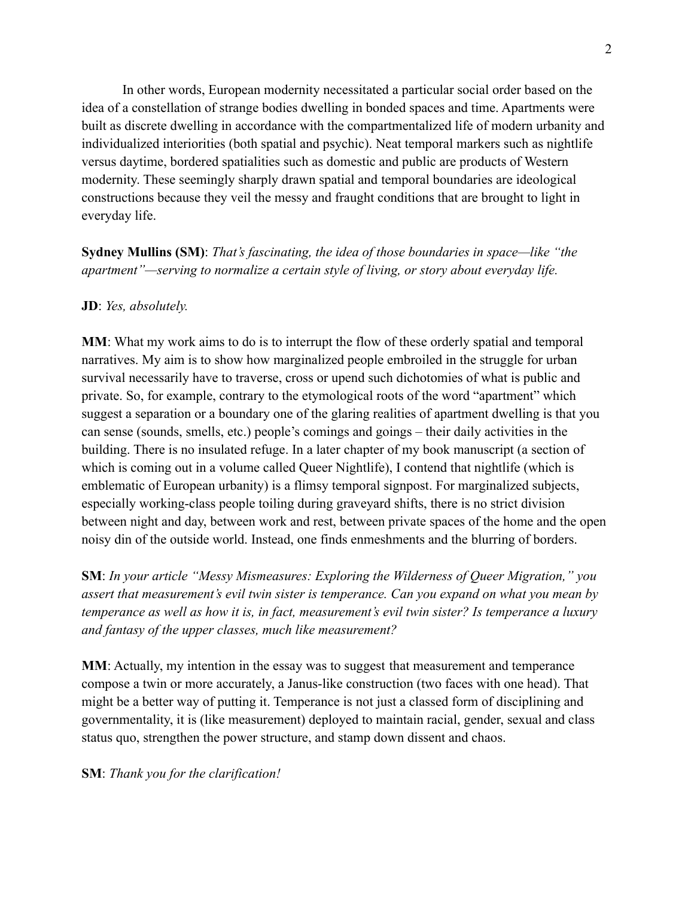In other words, European modernity necessitated a particular social order based on the idea of a constellation of strange bodies dwelling in bonded spaces and time. Apartments were built as discrete dwelling in accordance with the compartmentalized life of modern urbanity and individualized interiorities (both spatial and psychic). Neat temporal markers such as nightlife versus daytime, bordered spatialities such as domestic and public are products of Western modernity. These seemingly sharply drawn spatial and temporal boundaries are ideological constructions because they veil the messy and fraught conditions that are brought to light in everyday life.

**Sydney Mullins (SM)**: *That's fascinating, the idea of those boundaries in space—like "the apartment"—serving to normalize a certain style of living, or story about everyday life.*

#### **JD**: *Yes, absolutely.*

**MM**: What my work aims to do is to interrupt the flow of these orderly spatial and temporal narratives. My aim is to show how marginalized people embroiled in the struggle for urban survival necessarily have to traverse, cross or upend such dichotomies of what is public and private. So, for example, contrary to the etymological roots of the word "apartment" which suggest a separation or a boundary one of the glaring realities of apartment dwelling is that you can sense (sounds, smells, etc.) people's comings and goings – their daily activities in the building. There is no insulated refuge. In a later chapter of my book manuscript (a section of which is coming out in a volume called Queer Nightlife), I contend that nightlife (which is emblematic of European urbanity) is a flimsy temporal signpost. For marginalized subjects, especially working-class people toiling during graveyard shifts, there is no strict division between night and day, between work and rest, between private spaces of the home and the open noisy din of the outside world. Instead, one finds enmeshments and the blurring of borders.

**SM**: *In your article "Messy Mismeasures: Exploring the Wilderness of Queer Migration," you assert that measurement's evil twin sister is temperance. Can you expand on what you mean by temperance as well as how it is, in fact, measurement's evil twin sister? Is temperance a luxury and fantasy of the upper classes, much like measurement?*

**MM**: Actually, my intention in the essay was to suggest that measurement and temperance compose a twin or more accurately, a Janus-like construction (two faces with one head). That might be a better way of putting it. Temperance is not just a classed form of disciplining and governmentality, it is (like measurement) deployed to maintain racial, gender, sexual and class status quo, strengthen the power structure, and stamp down dissent and chaos.

**SM**: *Thank you for the clarification!*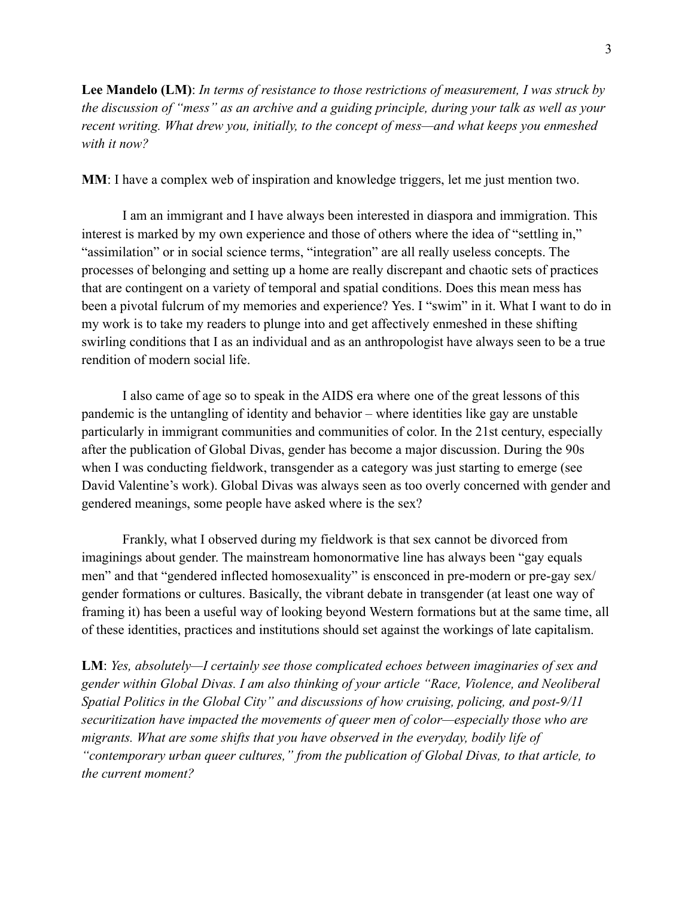**Lee Mandelo (LM)**: *In terms of resistance to those restrictions of measurement, I was struck by the discussion of "mess" as an archive and a guiding principle, during your talk as well as your recent writing. What drew you, initially, to the concept of mess—and what keeps you enmeshed with it now?*

**MM**: I have a complex web of inspiration and knowledge triggers, let me just mention two.

I am an immigrant and I have always been interested in diaspora and immigration. This interest is marked by my own experience and those of others where the idea of "settling in," "assimilation" or in social science terms, "integration" are all really useless concepts. The processes of belonging and setting up a home are really discrepant and chaotic sets of practices that are contingent on a variety of temporal and spatial conditions. Does this mean mess has been a pivotal fulcrum of my memories and experience? Yes. I "swim" in it. What I want to do in my work is to take my readers to plunge into and get affectively enmeshed in these shifting swirling conditions that I as an individual and as an anthropologist have always seen to be a true rendition of modern social life.

I also came of age so to speak in the AIDS era where one of the great lessons of this pandemic is the untangling of identity and behavior – where identities like gay are unstable particularly in immigrant communities and communities of color. In the 21st century, especially after the publication of Global Divas, gender has become a major discussion. During the 90s when I was conducting fieldwork, transgender as a category was just starting to emerge (see David Valentine's work). Global Divas was always seen as too overly concerned with gender and gendered meanings, some people have asked where is the sex?

Frankly, what I observed during my fieldwork is that sex cannot be divorced from imaginings about gender. The mainstream homonormative line has always been "gay equals men" and that "gendered inflected homosexuality" is ensconced in pre-modern or pre-gay sex/ gender formations or cultures. Basically, the vibrant debate in transgender (at least one way of framing it) has been a useful way of looking beyond Western formations but at the same time, all of these identities, practices and institutions should set against the workings of late capitalism.

**LM**: *Yes, absolutely—I certainly see those complicated echoes between imaginaries of sex and gender within Global Divas. I am also thinking of your article "Race, Violence, and Neoliberal Spatial Politics in the Global City" and discussions of how cruising, policing, and post-9/11 securitization have impacted the movements of queer men of color—especially those who are migrants. What are some shifts that you have observed in the everyday, bodily life of "contemporary urban queer cultures," from the publication of Global Divas, to that article, to the current moment?*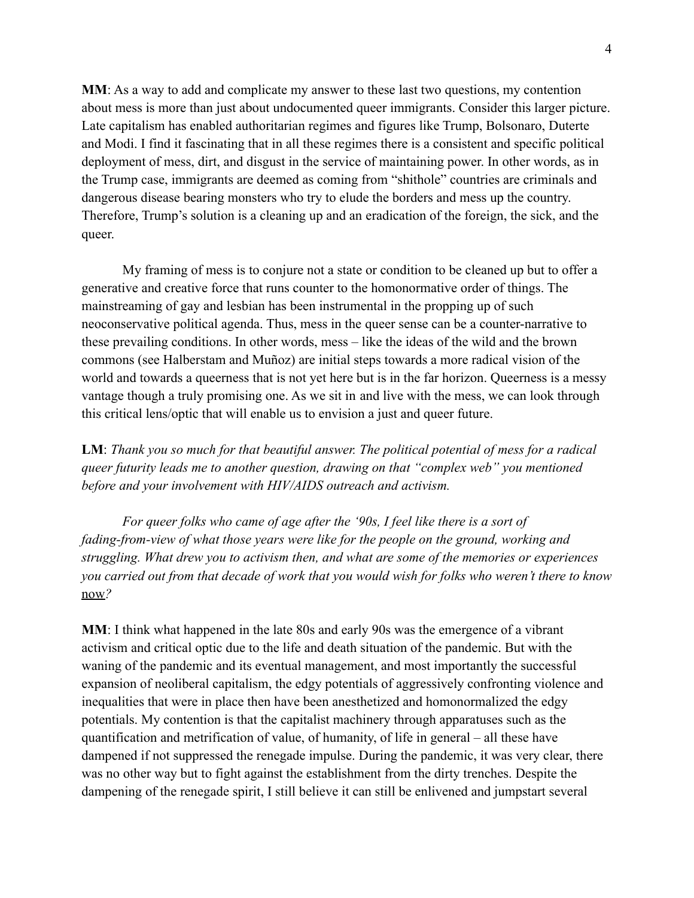**MM**: As a way to add and complicate my answer to these last two questions, my contention about mess is more than just about undocumented queer immigrants. Consider this larger picture. Late capitalism has enabled authoritarian regimes and figures like Trump, Bolsonaro, Duterte and Modi. I find it fascinating that in all these regimes there is a consistent and specific political deployment of mess, dirt, and disgust in the service of maintaining power. In other words, as in the Trump case, immigrants are deemed as coming from "shithole" countries are criminals and dangerous disease bearing monsters who try to elude the borders and mess up the country. Therefore, Trump's solution is a cleaning up and an eradication of the foreign, the sick, and the queer.

My framing of mess is to conjure not a state or condition to be cleaned up but to offer a generative and creative force that runs counter to the homonormative order of things. The mainstreaming of gay and lesbian has been instrumental in the propping up of such neoconservative political agenda. Thus, mess in the queer sense can be a counter-narrative to these prevailing conditions. In other words, mess – like the ideas of the wild and the brown commons (see Halberstam and Muñoz) are initial steps towards a more radical vision of the world and towards a queerness that is not yet here but is in the far horizon. Queerness is a messy vantage though a truly promising one. As we sit in and live with the mess, we can look through this critical lens/optic that will enable us to envision a just and queer future.

**LM**: *Thank you so much for that beautiful answer. The political potential of mess for a radical queer futurity leads me to another question, drawing on that "complex web" you mentioned before and your involvement with HIV/AIDS outreach and activism.*

*For queer folks who came of age after the '90s, I feel like there is a sort of fading-from-view of what those years were like for the people on the ground, working and struggling. What drew you to activism then, and what are some of the memories or experiences you carried out from that decade of work that you would wish for folks who weren't there to know* now*?*

**MM**: I think what happened in the late 80s and early 90s was the emergence of a vibrant activism and critical optic due to the life and death situation of the pandemic. But with the waning of the pandemic and its eventual management, and most importantly the successful expansion of neoliberal capitalism, the edgy potentials of aggressively confronting violence and inequalities that were in place then have been anesthetized and homonormalized the edgy potentials. My contention is that the capitalist machinery through apparatuses such as the quantification and metrification of value, of humanity, of life in general – all these have dampened if not suppressed the renegade impulse. During the pandemic, it was very clear, there was no other way but to fight against the establishment from the dirty trenches. Despite the dampening of the renegade spirit, I still believe it can still be enlivened and jumpstart several